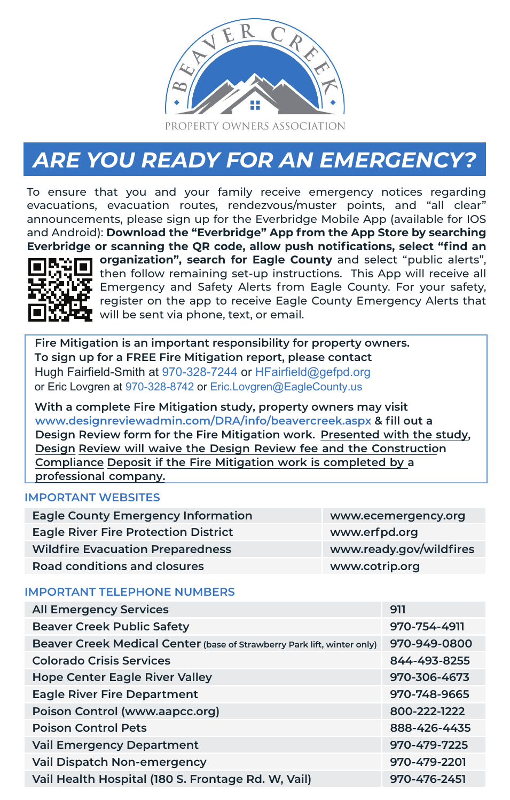

## *ARE YOU READY FOR AN EMERGENCY?*

To ensure that you and your family receive emergency notices regarding evacuations, evacuation routes, rendezvous/muster points, and "all clear" announcements, please sign up for the Everbridge Mobile App (available for IOS and Android): **Download the "Everbridge" App from the App Store by searching Everbridge or scanning the QR code, allow push notifications, select "find an**



**organization", search for Eagle County** and select "public alerts", then follow remaining set-up instructions. This App will receive all Emergency and Safety Alerts from Eagle County. For your safety, register on the app to receive Eagle County Emergency Alerts that will be sent via phone, text, or email.

**Fire Mitigation is an important responsibility for property owners. To sign up for a FREE Fire Mitigation report, please contact**  Hugh Fairfield-Smith at 970-328-7244 or HFairfield@gefpd.org or Eric Lovgren at 970-328-8742 or Eric.Lovgren@EagleCounty.us

**With a complete Fire Mitigation study, property owners may visit www.designreviewadmin.com/DRA/info/beavercreek.aspx & fill out a Design Review form for the Fire Mitigation work. Presented with the study, Design Review will waive the Design Review fee and the Construction Compliance Deposit if the Fire Mitigation work is completed by a professional company.**

## **IMPORTANT WEBSITES**

| <b>Eagle County Emergency Information</b>   | www.ecemergency.org     |
|---------------------------------------------|-------------------------|
| <b>Eagle River Fire Protection District</b> | www.erfpd.org           |
| <b>Wildfire Evacuation Preparedness</b>     | www.ready.gov/wildfires |
| <b>Road conditions and closures</b>         | www.cotrip.org          |

## **IMPORTANT TELEPHONE NUMBERS**

| <b>All Emergency Services</b>                                           | 911          |
|-------------------------------------------------------------------------|--------------|
| <b>Beaver Creek Public Safety</b>                                       | 970-754-4911 |
| Beaver Creek Medical Center (base of Strawberry Park lift, winter only) | 970-949-0800 |
| <b>Colorado Crisis Services</b>                                         | 844-493-8255 |
| <b>Hope Center Eagle River Valley</b>                                   | 970-306-4673 |
| <b>Eagle River Fire Department</b>                                      | 970-748-9665 |
| Poison Control (www.aapcc.org)                                          | 800-222-1222 |
| <b>Poison Control Pets</b>                                              | 888-426-4435 |
| <b>Vail Emergency Department</b>                                        | 970-479-7225 |
| <b>Vail Dispatch Non-emergency</b>                                      | 970-479-2201 |
| Vail Health Hospital (180 S. Frontage Rd. W, Vail)                      | 970-476-2451 |